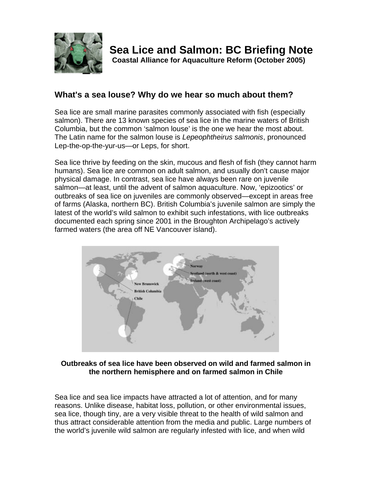

**Coastal Alliance for Aquaculture Reform (October 2005)**

# **What's a sea louse? Why do we hear so much about them?**

Sea lice are small marine parasites commonly associated with fish (especially salmon). There are 13 known species of sea lice in the marine waters of British Columbia, but the common 'salmon louse' is the one we hear the most about. The Latin name for the salmon louse is *Lepeophtheirus salmonis*, pronounced Lep-the-op-the-yur-us—or Leps, for short.

Sea lice thrive by feeding on the skin, mucous and flesh of fish (they cannot harm humans). Sea lice are common on adult salmon, and usually don't cause major physical damage. In contrast, sea lice have always been rare on juvenile salmon—at least, until the advent of salmon aquaculture. Now, 'epizootics' or outbreaks of sea lice on juveniles are commonly observed—except in areas free of farms (Alaska, northern BC). British Columbia's juvenile salmon are simply the latest of the world's wild salmon to exhibit such infestations, with lice outbreaks documented each spring since 2001 in the Broughton Archipelago's actively farmed waters (the area off NE Vancouver island).



#### **Outbreaks of sea lice have been observed on wild and farmed salmon in the northern hemisphere and on farmed salmon in Chile**

Sea lice and sea lice impacts have attracted a lot of attention, and for many reasons. Unlike disease, habitat loss, pollution, or other environmental issues, sea lice, though tiny, are a very visible threat to the health of wild salmon and thus attract considerable attention from the media and public. Large numbers of the world's juvenile wild salmon are regularly infested with lice, and when wild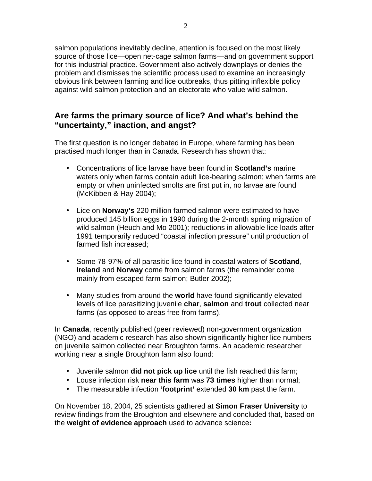salmon populations inevitably decline, attention is focused on the most likely source of those lice—open net-cage salmon farms—and on government support for this industrial practice. Government also actively downplays or denies the problem and dismisses the scientific process used to examine an increasingly obvious link between farming and lice outbreaks, thus pitting inflexible policy against wild salmon protection and an electorate who value wild salmon.

### **Are farms the primary source of lice? And what's behind the "uncertainty," inaction, and angst?**

The first question is no longer debated in Europe, where farming has been practised much longer than in Canada. Research has shown that:

- Concentrations of lice larvae have been found in **Scotland's** marine waters only when farms contain adult lice-bearing salmon; when farms are empty or when uninfected smolts are first put in, no larvae are found (McKibben & Hay 2004);
- Lice on **Norway's** 220 million farmed salmon were estimated to have produced 145 billion eggs in 1990 during the 2-month spring migration of wild salmon (Heuch and Mo 2001); reductions in allowable lice loads after 1991 temporarily reduced "coastal infection pressure" until production of farmed fish increased;
- Some 78-97% of all parasitic lice found in coastal waters of **Scotland**, **Ireland** and **Norway** come from salmon farms (the remainder come mainly from escaped farm salmon; Butler 2002);
- Many studies from around the **world** have found significantly elevated levels of lice parasitizing juvenile **char**, **salmon** and **trout** collected near farms (as opposed to areas free from farms).

In **Canada**, recently published (peer reviewed) non-government organization (NGO) and academic research has also shown significantly higher lice numbers on juvenile salmon collected near Broughton farms. An academic researcher working near a single Broughton farm also found:

- Juvenile salmon **did not pick up lice** until the fish reached this farm;
- Louse infection risk **near this farm** was **73 times** higher than normal;
- The measurable infection **'footprint'** extended **30 km** past the farm.

On November 18, 2004, 25 scientists gathered at **Simon Fraser University** to review findings from the Broughton and elsewhere and concluded that, based on the **weight of evidence approach** used to advance science**:**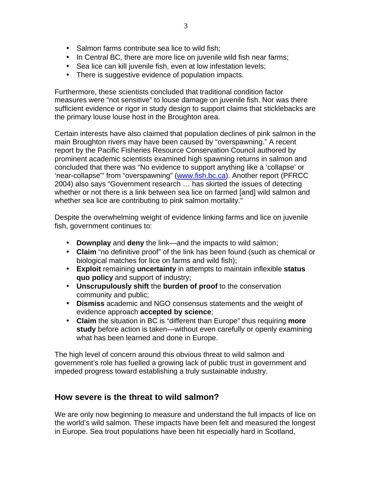- Salmon farms contribute sea lice to wild fish;
- In Central BC, there are more lice on juvenile wild fish near farms;
- Sea lice can kill juvenile fish, even at low infestation levels;
- There is suggestive evidence of population impacts.

Furthermore, these scientists concluded that traditional condition factor measures were "not sensitive" to louse damage on juvenile fish. Nor was there sufficient evidence or rigor in study design to support claims that sticklebacks are the primary louse louse host in the Broughton area.

Certain interests have also claimed that population declines of pink salmon in the main Broughton rivers may have been caused by "overspawning." A recent report by the Pacific Fisheries Resource Conservation Council authored by prominent academic scientists examined high spawning returns in salmon and concluded that there was "No evidence to support anything like a 'collapse' or 'near-collapse'" from "overspawning" (www.fish.bc.ca). Another report (PFRCC 2004) also says "Government research … has skirted the issues of detecting whether or not there is a link between sea lice on farmed [and] wild salmon and whether sea lice are contributing to pink salmon mortality."

Despite the overwhelming weight of evidence linking farms and lice on juvenile fish, government continues to:

- **Downplay** and **deny** the link—and the impacts to wild salmon;
- **Claim** "no definitive proof" of the link has been found (such as chemical or biological matches for lice on farms and wild fish);
- **Exploit** remaining **uncertainty** in attempts to maintain inflexible **status quo policy** and support of industry;
- **Unscrupulously shift** the **burden of proof** to the conservation community and public;
- **Dismiss** academic and NGO consensus statements and the weight of evidence approach **accepted by science**;
- **Claim** the situation in BC is "different than Europe" thus requiring **more study** before action is taken—without even carefully or openly examining what has been learned and done in Europe.

The high level of concern around this obvious threat to wild salmon and government's role has fuelled a growing lack of public trust in government and impeded progress toward establishing a truly sustainable industry.

#### **How severe is the threat to wild salmon?**

We are only now beginning to measure and understand the full impacts of lice on the world's wild salmon. These impacts have been felt and measured the longest in Europe. Sea trout populations have been hit especially hard in Scotland,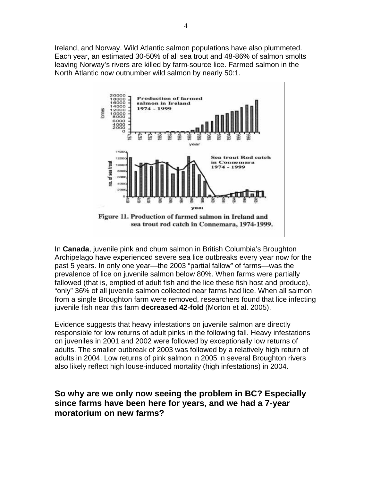Ireland, and Norway. Wild Atlantic salmon populations have also plummeted. Each year, an estimated 30-50% of all sea trout and 48-86% of salmon smolts leaving Norway's rivers are killed by farm-source lice. Farmed salmon in the North Atlantic now outnumber wild salmon by nearly 50:1.



In **Canada**, juvenile pink and chum salmon in British Columbia's Broughton Archipelago have experienced severe sea lice outbreaks every year now for the past 5 years. In only one year—the 2003 "partial fallow" of farms—was the prevalence of lice on juvenile salmon below 80%. When farms were partially fallowed (that is, emptied of adult fish and the lice these fish host and produce), "only" 36% of all juvenile salmon collected near farms had lice. When all salmon from a single Broughton farm were removed, researchers found that lice infecting juvenile fish near this farm **decreased 42-fold** (Morton et al. 2005).

Evidence suggests that heavy infestations on juvenile salmon are directly responsible for low returns of adult pinks in the following fall. Heavy infestations on juveniles in 2001 and 2002 were followed by exceptionally low returns of adults. The smaller outbreak of 2003 was followed by a relatively high return of adults in 2004. Low returns of pink salmon in 2005 in several Broughton rivers also likely reflect high louse-induced mortality (high infestations) in 2004.

### **So why are we only now seeing the problem in BC? Especially since farms have been here for years, and we had a 7-year moratorium on new farms?**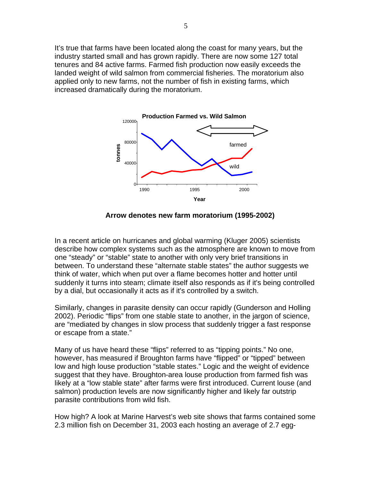It's true that farms have been located along the coast for many years, but the industry started small and has grown rapidly. There are now some 127 total tenures and 84 active farms. Farmed fish production now easily exceeds the landed weight of wild salmon from commercial fisheries. The moratorium also applied only to new farms, not the number of fish in existing farms, which increased dramatically during the moratorium.



 **Arrow denotes new farm moratorium (1995-2002)**

In a recent article on hurricanes and global warming (Kluger 2005) scientists describe how complex systems such as the atmosphere are known to move from one "steady" or "stable" state to another with only very brief transitions in between. To understand these "alternate stable states" the author suggests we think of water, which when put over a flame becomes hotter and hotter until suddenly it turns into steam; climate itself also responds as if it's being controlled by a dial, but occasionally it acts as if it's controlled by a switch.

Similarly, changes in parasite density can occur rapidly (Gunderson and Holling 2002). Periodic "flips" from one stable state to another, in the jargon of science, are "mediated by changes in slow process that suddenly trigger a fast response or escape from a state."

Many of us have heard these "flips" referred to as "tipping points." No one, however, has measured if Broughton farms have "flipped" or "tipped" between low and high louse production "stable states." Logic and the weight of evidence suggest that they have. Broughton-area louse production from farmed fish was likely at a "low stable state" after farms were first introduced. Current louse (and salmon) production levels are now significantly higher and likely far outstrip parasite contributions from wild fish.

How high? A look at Marine Harvest's web site shows that farms contained some 2.3 million fish on December 31, 2003 each hosting an average of 2.7 egg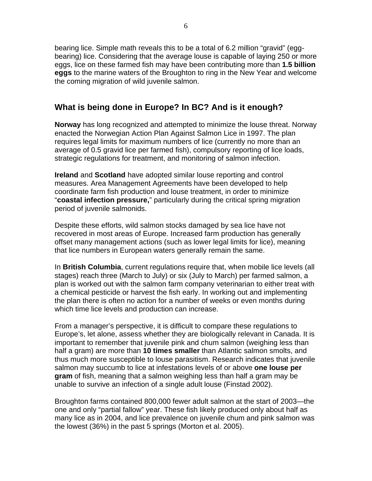bearing lice. Simple math reveals this to be a total of 6.2 million "gravid" (eggbearing) lice. Considering that the average louse is capable of laying 250 or more eggs, lice on these farmed fish may have been contributing more than **1.5 billion eggs** to the marine waters of the Broughton to ring in the New Year and welcome the coming migration of wild juvenile salmon.

### **What is being done in Europe? In BC? And is it enough?**

**Norway** has long recognized and attempted to minimize the louse threat. Norway enacted the Norwegian Action Plan Against Salmon Lice in 1997. The plan requires legal limits for maximum numbers of lice (currently no more than an average of 0.5 gravid lice per farmed fish), compulsory reporting of lice loads, strategic regulations for treatment, and monitoring of salmon infection.

**Ireland** and **Scotland** have adopted similar louse reporting and control measures. Area Management Agreements have been developed to help coordinate farm fish production and louse treatment, in order to minimize "**coastal infection pressure,**" particularly during the critical spring migration period of juvenile salmonids.

Despite these efforts, wild salmon stocks damaged by sea lice have not recovered in most areas of Europe. Increased farm production has generally offset many management actions (such as lower legal limits for lice), meaning that lice numbers in European waters generally remain the same.

In **British Columbia**, current regulations require that, when mobile lice levels (all stages) reach three (March to July) or six (July to March) per farmed salmon, a plan is worked out with the salmon farm company veterinarian to either treat with a chemical pesticide or harvest the fish early. In working out and implementing the plan there is often no action for a number of weeks or even months during which time lice levels and production can increase.

From a manager's perspective, it is difficult to compare these regulations to Europe's, let alone, assess whether they are biologically relevant in Canada. It is important to remember that juvenile pink and chum salmon (weighing less than half a gram) are more than **10 times smaller** than Atlantic salmon smolts, and thus much more susceptible to louse parasitism. Research indicates that juvenile salmon may succumb to lice at infestations levels of or above **one louse per gram** of fish, meaning that a salmon weighing less than half a gram may be unable to survive an infection of a single adult louse (Finstad 2002).

Broughton farms contained 800,000 fewer adult salmon at the start of 2003—the one and only "partial fallow" year. These fish likely produced only about half as many lice as in 2004, and lice prevalence on juvenile chum and pink salmon was the lowest (36%) in the past 5 springs (Morton et al. 2005).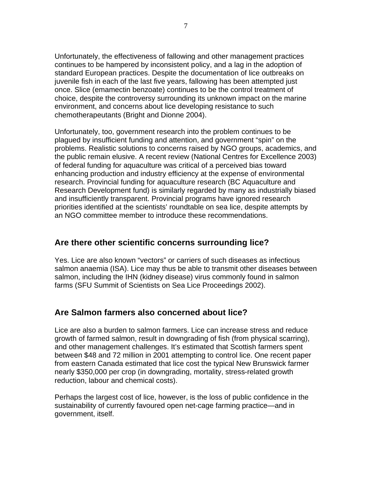Unfortunately, the effectiveness of fallowing and other management practices continues to be hampered by inconsistent policy, and a lag in the adoption of standard European practices. Despite the documentation of lice outbreaks on juvenile fish in each of the last five years, fallowing has been attempted just once. Slice (emamectin benzoate) continues to be the control treatment of choice, despite the controversy surrounding its unknown impact on the marine environment, and concerns about lice developing resistance to such chemotherapeutants (Bright and Dionne 2004).

Unfortunately, too, government research into the problem continues to be plagued by insufficient funding and attention, and government "spin" on the problems. Realistic solutions to concerns raised by NGO groups, academics, and the public remain elusive. A recent review (National Centres for Excellence 2003) of federal funding for aquaculture was critical of a perceived bias toward enhancing production and industry efficiency at the expense of environmental research. Provincial funding for aquaculture research (BC Aquaculture and Research Development fund) is similarly regarded by many as industrially biased and insufficiently transparent. Provincial programs have ignored research priorities identified at the scientists' roundtable on sea lice, despite attempts by an NGO committee member to introduce these recommendations.

### **Are there other scientific concerns surrounding lice?**

Yes. Lice are also known "vectors" or carriers of such diseases as infectious salmon anaemia (ISA). Lice may thus be able to transmit other diseases between salmon, including the IHN (kidney disease) virus commonly found in salmon farms (SFU Summit of Scientists on Sea Lice Proceedings 2002).

#### **Are Salmon farmers also concerned about lice?**

Lice are also a burden to salmon farmers. Lice can increase stress and reduce growth of farmed salmon, result in downgrading of fish (from physical scarring), and other management challenges. It's estimated that Scottish farmers spent between \$48 and 72 million in 2001 attempting to control lice. One recent paper from eastern Canada estimated that lice cost the typical New Brunswick farmer nearly \$350,000 per crop (in downgrading, mortality, stress-related growth reduction, labour and chemical costs).

Perhaps the largest cost of lice, however, is the loss of public confidence in the sustainability of currently favoured open net-cage farming practice—and in government, itself.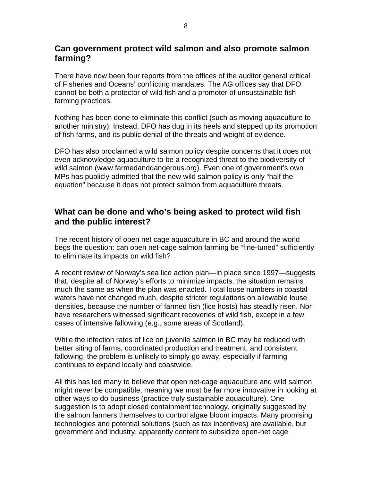#### **Can government protect wild salmon and also promote salmon farming?**

There have now been four reports from the offices of the auditor general critical of Fisheries and Oceans' conflicting mandates. The AG offices say that DFO cannot be both a protector of wild fish and a promoter of unsustainable fish farming practices.

Nothing has been done to eliminate this conflict (such as moving aquaculture to another ministry). Instead, DFO has dug in its heels and stepped up its promotion of fish farms, and its public denial of the threats and weight of evidence.

DFO has also proclaimed a wild salmon policy despite concerns that it does not even acknowledge aquaculture to be a recognized threat to the biodiversity of wild salmon (www.farmedanddangerous.org). Even one of government's own MPs has publicly admitted that the new wild salmon policy is only "half the equation" because it does not protect salmon from aquaculture threats.

### **What can be done and who's being asked to protect wild fish and the public interest?**

The recent history of open net cage aquaculture in BC and around the world begs the question: can open net-cage salmon farming be "fine-tuned" sufficiently to eliminate its impacts on wild fish?

A recent review of Norway's sea lice action plan—in place since 1997—suggests that, despite all of Norway's efforts to minimize impacts, the situation remains much the same as when the plan was enacted. Total louse numbers in coastal waters have not changed much, despite stricter regulations on allowable louse densities, because the number of farmed fish (lice hosts) has steadily risen. Nor have researchers witnessed significant recoveries of wild fish, except in a few cases of intensive fallowing (e.g., some areas of Scotland).

While the infection rates of lice on juvenile salmon in BC may be reduced with better siting of farms, coordinated production and treatment, and consistent fallowing, the problem is unlikely to simply go away, especially if farming continues to expand locally and coastwide.

All this has led many to believe that open net-cage aquaculture and wild salmon might never be compatible, meaning we must be far more innovative in looking at other ways to do business (practice truly sustainable aquaculture). One suggestion is to adopt closed containment technology, originally suggested by the salmon farmers themselves to control algae bloom impacts. Many promising technologies and potential solutions (such as tax incentives) are available, but government and industry, apparently content to subsidize open-net cage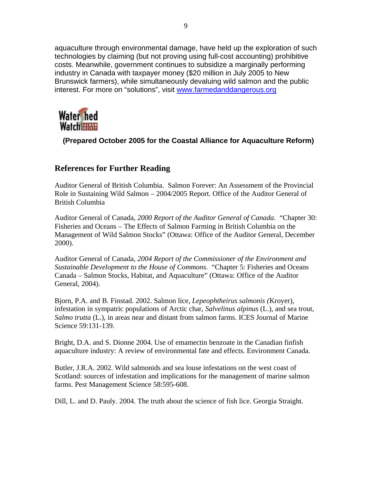aquaculture through environmental damage, have held up the exploration of such technologies by claiming (but not proving using full-cost accounting) prohibitive costs. Meanwhile, government continues to subsidize a marginally performing industry in Canada with taxpayer money (\$20 million in July 2005 to New Brunswick farmers), while simultaneously devaluing wild salmon and the public interest. For more on "solutions", visit www.farmedanddangerous.org



 **(Prepared October 2005 for the Coastal Alliance for Aquaculture Reform)**

## **References for Further Reading**

Auditor General of British Columbia. Salmon Forever: An Assessment of the Provincial Role in Sustaining Wild Salmon – 2004/2005 Report. Office of the Auditor General of British Columbia

Auditor General of Canada, *2000 Report of the Auditor General of Canada.* "Chapter 30: Fisheries and Oceans – The Effects of Salmon Farming in British Columbia on the Management of Wild Salmon Stocks" (Ottawa: Office of the Auditor General, December 2000).

Auditor General of Canada, *2004 Report of the Commissioner of the Environment and Sustainable Development to the House of Commons.* "Chapter 5: Fisheries and Oceans Canada – Salmon Stocks, Habitat, and Aquaculture" (Ottawa: Office of the Auditor General, 2004).

Bjorn, P.A. and B. Finstad. 2002. Salmon lice, *Lepeophtheirus salmonis (*Kroyer), infestation in sympatric populations of Arctic char, *Salvelinus alpinus* (L.), and sea trout, *Salmo trutta* (L.), in areas near and distant from salmon farms. ICES Journal of Marine Science 59:131-139.

Bright, D.A. and S. Dionne 2004. Use of emamectin benzoate in the Canadian finfish aquaculture industry: A review of environmental fate and effects. Environment Canada.

Butler, J.R.A. 2002. Wild salmonids and sea louse infestations on the west coast of Scotland: sources of infestation and implications for the management of marine salmon farms. Pest Management Science 58:595-608.

Dill, L. and D. Pauly. 2004. The truth about the science of fish lice. Georgia Straight.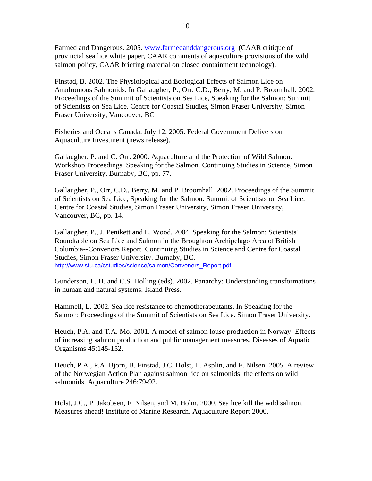Farmed and Dangerous. 2005. www.farmedanddangerous.org (CAAR critique of provincial sea lice white paper, CAAR comments of aquaculture provisions of the wild salmon policy, CAAR briefing material on closed containment technology).

Finstad, B. 2002. The Physiological and Ecological Effects of Salmon Lice on Anadromous Salmonids. In Gallaugher, P., Orr, C.D., Berry, M. and P. Broomhall. 2002. Proceedings of the Summit of Scientists on Sea Lice, Speaking for the Salmon: Summit of Scientists on Sea Lice. Centre for Coastal Studies, Simon Fraser University, Simon Fraser University, Vancouver, BC

Fisheries and Oceans Canada. July 12, 2005. Federal Government Delivers on Aquaculture Investment (news release).

Gallaugher, P. and C. Orr. 2000. Aquaculture and the Protection of Wild Salmon. Workshop Proceedings. Speaking for the Salmon. Continuing Studies in Science, Simon Fraser University, Burnaby, BC, pp. 77.

Gallaugher, P., Orr, C.D., Berry, M. and P. Broomhall. 2002. Proceedings of the Summit of Scientists on Sea Lice, Speaking for the Salmon: Summit of Scientists on Sea Lice. Centre for Coastal Studies, Simon Fraser University, Simon Fraser University, Vancouver, BC, pp. 14.

Gallaugher, P., J. Penikett and L. Wood. 2004. Speaking for the Salmon: Scientists' Roundtable on Sea Lice and Salmon in the Broughton Archipelago Area of British Columbia--Convenors Report. Continuing Studies in Science and Centre for Coastal Studies, Simon Fraser University. Burnaby, BC. http://www.sfu.ca/cstudies/science/salmon/Conveners\_Report.pdf

Gunderson, L. H. and C.S. Holling (eds). 2002. Panarchy: Understanding transformations in human and natural systems. Island Press.

Hammell, L. 2002. Sea lice resistance to chemotherapeutants. In Speaking for the Salmon: Proceedings of the Summit of Scientists on Sea Lice. Simon Fraser University.

Heuch, P.A. and T.A. Mo. 2001. A model of salmon louse production in Norway: Effects of increasing salmon production and public management measures. Diseases of Aquatic Organisms 45:145-152.

Heuch, P.A., P.A. Bjorn, B. Finstad, J.C. Holst, L. Asplin, and F. Nilsen. 2005. A review of the Norwegian Action Plan against salmon lice on salmonids: the effects on wild salmonids. Aquaculture 246:79-92.

Holst, J.C., P. Jakobsen, F. Nilsen, and M. Holm. 2000. Sea lice kill the wild salmon. Measures ahead! Institute of Marine Research. Aquaculture Report 2000.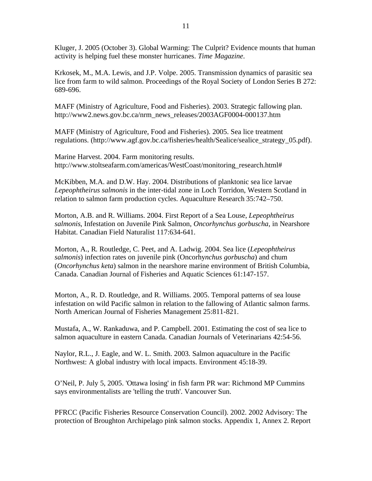Kluger, J. 2005 (October 3). Global Warming: The Culprit? Evidence mounts that human activity is helping fuel these monster hurricanes. *Time Magazine*.

Krkosek, M., M.A. Lewis, and J.P. Volpe. 2005. Transmission dynamics of parasitic sea lice from farm to wild salmon. Proceedings of the Royal Society of London Series B 272: 689-696.

MAFF (Ministry of Agriculture, Food and Fisheries). 2003. Strategic fallowing plan. http://www2.news.gov.bc.ca/nrm\_news\_releases/2003AGF0004-000137.htm

MAFF (Ministry of Agriculture, Food and Fisheries). 2005. Sea lice treatment regulations. (http://www.agf.gov.bc.ca/fisheries/health/Sealice/sealice\_strategy\_05.pdf).

Marine Harvest. 2004. Farm monitoring results. http://www.stoltseafarm.com/americas/WestCoast/monitoring\_research.html#

McKibben, M.A. and D.W. Hay. 2004. Distributions of planktonic sea lice larvae *Lepeophtheirus salmonis* in the inter-tidal zone in Loch Torridon, Western Scotland in relation to salmon farm production cycles. Aquaculture Research 35:742–750.

Morton, A.B. and R. Williams. 2004. First Report of a Sea Louse, *Lepeophtheirus salmonis*, Infestation on Juvenile Pink Salmon, *Oncorhynchus gorbuscha*, in Nearshore Habitat. Canadian Field Naturalist 117:634-641.

Morton, A., R. Routledge, C. Peet, and A. Ladwig. 2004. Sea lice (*Lepeophtheirus salmonis*) infection rates on juvenile pink (Oncorhy*nchus gorbuscha*) and chum (*Oncorhynchus keta*) salmon in the nearshore marine environment of British Columbia, Canada. Canadian Journal of Fisheries and Aquatic Sciences 61:147-157.

Morton, A., R. D. Routledge, and R. Williams. 2005. Temporal patterns of sea louse infestation on wild Pacific salmon in relation to the fallowing of Atlantic salmon farms. North American Journal of Fisheries Management 25:811-821.

Mustafa, A., W. Rankaduwa, and P. Campbell. 2001. Estimating the cost of sea lice to salmon aquaculture in eastern Canada. Canadian Journals of Veterinarians 42:54-56.

Naylor, R.L., J. Eagle, and W. L. Smith. 2003. Salmon aquaculture in the Pacific Northwest: A global industry with local impacts. Environment 45:18-39.

O'Neil, P. July 5, 2005. 'Ottawa losing' in fish farm PR war: Richmond MP Cummins says environmentalists are 'telling the truth'. Vancouver Sun.

PFRCC (Pacific Fisheries Resource Conservation Council). 2002. 2002 Advisory: The protection of Broughton Archipelago pink salmon stocks. Appendix 1, Annex 2. Report